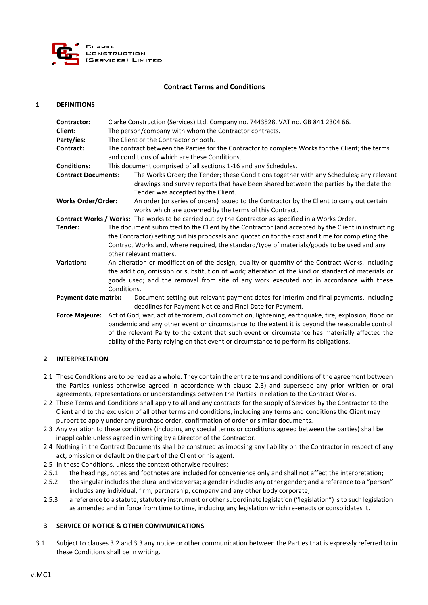

# **Contract Terms and Conditions**

#### **1 DEFINITIONS**

| Contractor:                 | Clarke Construction (Services) Ltd. Company no. 7443528. VAT no. GB 841 2304 66.                      |                                                                                                                                                                                                                        |  |
|-----------------------------|-------------------------------------------------------------------------------------------------------|------------------------------------------------------------------------------------------------------------------------------------------------------------------------------------------------------------------------|--|
| Client:                     | The person/company with whom the Contractor contracts.                                                |                                                                                                                                                                                                                        |  |
| Party/ies:                  | The Client or the Contractor or both.                                                                 |                                                                                                                                                                                                                        |  |
| Contract:                   | The contract between the Parties for the Contractor to complete Works for the Client; the terms       |                                                                                                                                                                                                                        |  |
|                             | and conditions of which are these Conditions.                                                         |                                                                                                                                                                                                                        |  |
| <b>Conditions:</b>          | This document comprised of all sections 1-16 and any Schedules.                                       |                                                                                                                                                                                                                        |  |
| <b>Contract Documents:</b>  |                                                                                                       | The Works Order; the Tender; these Conditions together with any Schedules; any relevant<br>drawings and survey reports that have been shared between the parties by the date the<br>Tender was accepted by the Client. |  |
| <b>Works Order/Order:</b>   |                                                                                                       | An order (or series of orders) issued to the Contractor by the Client to carry out certain<br>works which are governed by the terms of this Contract.                                                                  |  |
|                             |                                                                                                       | Contract Works / Works: The works to be carried out by the Contractor as specified in a Works Order.                                                                                                                   |  |
| Tender:                     | The document submitted to the Client by the Contractor (and accepted by the Client in instructing     |                                                                                                                                                                                                                        |  |
|                             | the Contractor) setting out his proposals and quotation for the cost and time for completing the      |                                                                                                                                                                                                                        |  |
|                             | Contract Works and, where required, the standard/type of materials/goods to be used and any           |                                                                                                                                                                                                                        |  |
|                             | other relevant matters.                                                                               |                                                                                                                                                                                                                        |  |
| Variation:                  | An alteration or modification of the design, quality or quantity of the Contract Works. Including     |                                                                                                                                                                                                                        |  |
|                             | the addition, omission or substitution of work; alteration of the kind or standard of materials or    |                                                                                                                                                                                                                        |  |
|                             | goods used; and the removal from site of any work executed not in accordance with these               |                                                                                                                                                                                                                        |  |
|                             | Conditions.                                                                                           |                                                                                                                                                                                                                        |  |
| <b>Payment date matrix:</b> |                                                                                                       | Document setting out relevant payment dates for interim and final payments, including<br>deadlines for Payment Notice and Final Date for Payment.                                                                      |  |
| <b>Force Majeure:</b>       | Act of God, war, act of terrorism, civil commotion, lightening, earthquake, fire, explosion, flood or |                                                                                                                                                                                                                        |  |
|                             | pandemic and any other event or circumstance to the extent it is beyond the reasonable control        |                                                                                                                                                                                                                        |  |
|                             | of the relevant Party to the extent that such event or circumstance has materially affected the       |                                                                                                                                                                                                                        |  |
|                             | ability of the Party relying on that event or circumstance to perform its obligations.                |                                                                                                                                                                                                                        |  |

### **2 INTERPRETATION**

- 2.1 These Conditions are to be read as a whole. They contain the entire terms and conditions of the agreement between the Parties (unless otherwise agreed in accordance with clause 2.3) and supersede any prior written or oral agreements, representations or understandings between the Parties in relation to the Contract Works.
- 2.2 These Terms and Conditions shall apply to all and any contracts for the supply of Services by the Contractor to the Client and to the exclusion of all other terms and conditions, including any terms and conditions the Client may purport to apply under any purchase order, confirmation of order or similar documents.
- 2.3 Any variation to these conditions (including any special terms or conditions agreed between the parties) shall be inapplicable unless agreed in writing by a Director of the Contractor.
- 2.4 Nothing in the Contract Documents shall be construed as imposing any liability on the Contractor in respect of any act, omission or default on the part of the Client or his agent.
- 2.5 In these Conditions, unless the context otherwise requires:
- 2.5.1 the headings, notes and footnotes are included for convenience only and shall not affect the interpretation;
- 2.5.2 the singular includes the plural and vice versa; a gender includes any other gender; and a reference to a "person" includes any individual, firm, partnership, company and any other body corporate;
- 2.5.3 a reference to a statute, statutory instrument or other subordinate legislation ("legislation") is to such legislation as amended and in force from time to time, including any legislation which re-enacts or consolidates it.

### **3 SERVICE OF NOTICE & OTHER COMMUNICATIONS**

3.1 Subject to clauses 3.2 and 3.3 any notice or other communication between the Parties that is expressly referred to in these Conditions shall be in writing.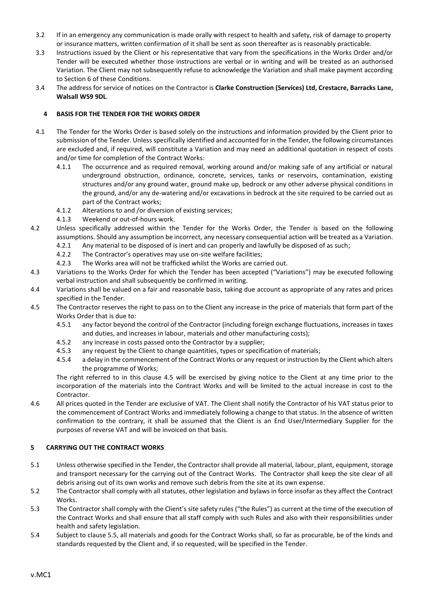- 3.2 If in an emergency any communication is made orally with respect to health and safety, risk of damage to property or insurance matters, written confirmation of it shall be sent as soon thereafter as is reasonably practicable.
- 3.3 Instructions issued by the Client or his representative that vary from the specifications in the Works Order and/or Tender will be executed whether those instructions are verbal or in writing and will be treated as an authorised Variation. The Client may not subsequently refuse to acknowledge the Variation and shall make payment according to Section 6 of these Conditions.
- 3.4 The address for service of notices on the Contractor is **Clarke Construction (Services) Ltd, Crestacre, Barracks Lane, Walsall WS9 9DL**.

# **4 BASIS FOR THE TENDER FOR THE WORKS ORDER**

- 4.1 The Tender for the Works Order is based solely on the instructions and information provided by the Client prior to submission of the Tender. Unless specifically identified and accounted for in the Tender, the following circumstances are excluded and, if required, will constitute a Variation and may need an additional quotation in respect of costs and/or time for completion of the Contract Works:
	- 4.1.1 The occurrence and as required removal, working around and/or making safe of any artificial or natural underground obstruction, ordinance, concrete, services, tanks or reservoirs, contamination, existing structures and/or any ground water, ground make up, bedrock or any other adverse physical conditions in the ground, and/or any de-watering and/or excavations in bedrock at the site required to be carried out as part of the Contract works;
	- 4.1.2 Alterations to and /or diversion of existing services;
	- 4.1.3 Weekend or out-of-hours work.
- 4.2 Unless specifically addressed within the Tender for the Works Order, the Tender is based on the following assumptions. Should any assumption be incorrect, any necessary consequential action will be treated as a Variation.
	- 4.2.1 Any material to be disposed of is inert and can properly and lawfully be disposed of as such;
	- 4.2.2 The Contractor's operatives may use on-site welfare facilities;
	- 4.2.3 The Works area will not be trafficked whilst the Works are carried out.
- 4.3 Variations to the Works Order for which the Tender has been accepted ("Variations") may be executed following verbal instruction and shall subsequently be confirmed in writing.
- 4.4 Variations shall be valued on a fair and reasonable basis, taking due account as appropriate of any rates and prices specified in the Tender.
- 4.5 The Contractor reserves the right to pass on to the Client any increase in the price of materials that form part of the Works Order that is due to:
	- 4.5.1 any factor beyond the control of the Contractor (including foreign exchange fluctuations, increases in taxes and duties, and increases in labour, materials and other manufacturing costs);
	- 4.5.2 any increase in costs passed onto the Contractor by a supplier;
	- 4.5.3 any request by the Client to change quantities, types or specification of materials;
	- 4.5.4 a delay in the commencement of the Contract Works or any request or instruction by the Client which alters the programme of Works;

The right referred to in this clause 4.5 will be exercised by giving notice to the Client at any time prior to the incorporation of the materials into the Contract Works and will be limited to the actual increase in cost to the Contractor.

4.6 All prices quoted in the Tender are exclusive of VAT. The Client shall notify the Contractor of his VAT status prior to the commencement of Contract Works and immediately following a change to that status. In the absence of written confirmation to the contrary, it shall be assumed that the Client is an End User/Intermediary Supplier for the purposes of reverse VAT and will be invoiced on that basis.

### **5 CARRYING OUT THE CONTRACT WORKS**

- 5.1 Unless otherwise specified in the Tender, the Contractor shall provide all material, labour, plant, equipment, storage and transport necessary for the carrying out of the Contract Works. The Contractor shall keep the site clear of all debris arising out of its own works and remove such debris from the site at its own expense.
- 5.2 The Contractor shall comply with all statutes, other legislation and bylaws in force insofar as they affect the Contract Works.
- 5.3 The Contractor shall comply with the Client's site safety rules ("the Rules") as current at the time of the execution of the Contract Works and shall ensure that all staff comply with such Rules and also with their responsibilities under health and safety legislation.
- 5.4 Subject to clause 5.5, all materials and goods for the Contract Works shall, so far as procurable, be of the kinds and standards requested by the Client and, if so requested, will be specified in the Tender.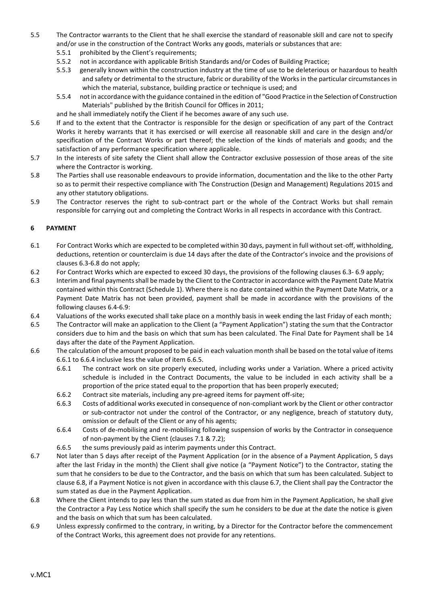- 5.5 The Contractor warrants to the Client that he shall exercise the standard of reasonable skill and care not to specify and/or use in the construction of the Contract Works any goods, materials or substances that are:
	- 5.5.1 prohibited by the Client's requirements;
	- 5.5.2 not in accordance with applicable British Standards and/or Codes of Building Practice;
	- 5.5.3 generally known within the construction industry at the time of use to be deleterious or hazardous to health and safety or detrimental to the structure, fabric or durability of the Works in the particular circumstances in which the material, substance, building practice or technique is used; and
	- 5.5.4 not in accordance with the guidance contained in the edition of "Good Practice in the Selection of Construction Materials" published by the British Council for Offices in 2011;
	- and he shall immediately notify the Client if he becomes aware of any such use.
- 5.6 If and to the extent that the Contractor is responsible for the design or specification of any part of the Contract Works it hereby warrants that it has exercised or will exercise all reasonable skill and care in the design and/or specification of the Contract Works or part thereof; the selection of the kinds of materials and goods; and the satisfaction of any performance specification where applicable.
- 5.7 In the interests of site safety the Client shall allow the Contractor exclusive possession of those areas of the site where the Contractor is working.
- 5.8 The Parties shall use reasonable endeavours to provide information, documentation and the like to the other Party so as to permit their respective compliance with The Construction (Design and Management) Regulations 2015 and any other statutory obligations.
- 5.9 The Contractor reserves the right to sub-contract part or the whole of the Contract Works but shall remain responsible for carrying out and completing the Contract Works in all respects in accordance with this Contract.

# **6 PAYMENT**

- 6.1 For Contract Works which are expected to be completed within 30 days, payment in full without set-off, withholding, deductions, retention or counterclaim is due 14 days after the date of the Contractor's invoice and the provisions of clauses 6.3-6.8 do not apply;
- 6.2 For Contract Works which are expected to exceed 30 days, the provisions of the following clauses 6.3- 6.9 apply;
- 6.3 Interim and final payments shall be made by the Client to the Contractor in accordance with the Payment Date Matrix contained within this Contract (Schedule 1). Where there is no date contained within the Payment Date Matrix, or a Payment Date Matrix has not been provided, payment shall be made in accordance with the provisions of the following clauses 6.4-6.9:
- 6.4 Valuations of the works executed shall take place on a monthly basis in week ending the last Friday of each month;
- 6.5 The Contractor will make an application to the Client (a "Payment Application") stating the sum that the Contractor considers due to him and the basis on which that sum has been calculated. The Final Date for Payment shall be 14 days after the date of the Payment Application.
- 6.6 The calculation of the amount proposed to be paid in each valuation month shall be based on the total value of items 6.6.1 to 6.6.4 inclusive less the value of item 6.6.5.
	- 6.6.1 The contract work on site properly executed, including works under a Variation. Where a priced activity schedule is included in the Contract Documents, the value to be included in each activity shall be a proportion of the price stated equal to the proportion that has been properly executed;
	- 6.6.2 Contract site materials, including any pre-agreed items for payment off-site;
	- 6.6.3 Costs of additional works executed in consequence of non-compliant work by the Client or other contractor or sub-contractor not under the control of the Contractor, or any negligence, breach of statutory duty, omission or default of the Client or any of his agents;
	- 6.6.4 Costs of de-mobilising and re-mobilising following suspension of works by the Contractor in consequence of non-payment by the Client (clauses 7.1 & 7.2);
	- 6.6.5 the sums previously paid as interim payments under this Contract.
- 6.7 Not later than 5 days after receipt of the Payment Application (or in the absence of a Payment Application, 5 days after the last Friday in the month) the Client shall give notice (a "Payment Notice") to the Contractor, stating the sum that he considers to be due to the Contractor, and the basis on which that sum has been calculated. Subject to clause 6.8, if a Payment Notice is not given in accordance with this clause 6.7, the Client shall pay the Contractor the sum stated as due in the Payment Application.
- 6.8 Where the Client intends to pay less than the sum stated as due from him in the Payment Application, he shall give the Contractor a Pay Less Notice which shall specify the sum he considers to be due at the date the notice is given and the basis on which that sum has been calculated.
- 6.9 Unless expressly confirmed to the contrary, in writing, by a Director for the Contractor before the commencement of the Contract Works, this agreement does not provide for any retentions.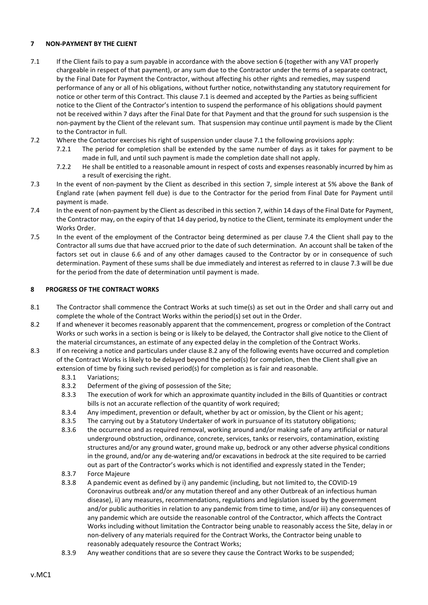# **7 NON-PAYMENT BY THE CLIENT**

- 7.1 If the Client fails to pay a sum payable in accordance with the above section 6 (together with any VAT properly chargeable in respect of that payment), or any sum due to the Contractor under the terms of a separate contract, by the Final Date for Payment the Contractor, without affecting his other rights and remedies, may suspend performance of any or all of his obligations, without further notice, notwithstanding any statutory requirement for notice or other term of this Contract. This clause 7.1 is deemed and accepted by the Parties as being sufficient notice to the Client of the Contractor's intention to suspend the performance of his obligations should payment not be received within 7 days after the Final Date for that Payment and that the ground for such suspension is the non-payment by the Client of the relevant sum. That suspension may continue until payment is made by the Client to the Contractor in full.
- 7.2 Where the Contactor exercises his right of suspension under clause 7.1 the following provisions apply:
	- 7.2.1 The period for completion shall be extended by the same number of days as it takes for payment to be made in full, and until such payment is made the completion date shall not apply.
	- 7.2.2 He shall be entitled to a reasonable amount in respect of costs and expenses reasonably incurred by him as a result of exercising the right.
- 7.3 In the event of non-payment by the Client as described in this section 7, simple interest at 5% above the Bank of England rate (when payment fell due) is due to the Contractor for the period from Final Date for Payment until payment is made.
- 7.4 In the event of non-payment by the Client as described in this section 7, within 14 days of the Final Date for Payment, the Contractor may, on the expiry of that 14 day period, by notice to the Client, terminate its employment under the Works Order.
- 7.5 In the event of the employment of the Contractor being determined as per clause 7.4 the Client shall pay to the Contractor all sums due that have accrued prior to the date of such determination. An account shall be taken of the factors set out in clause 6.6 and of any other damages caused to the Contractor by or in consequence of such determination. Payment of these sums shall be due immediately and interest as referred to in clause 7.3 will be due for the period from the date of determination until payment is made.

### **8 PROGRESS OF THE CONTRACT WORKS**

- 8.1 The Contractor shall commence the Contract Works at such time(s) as set out in the Order and shall carry out and complete the whole of the Contract Works within the period(s) set out in the Order.
- 8.2 If and whenever it becomes reasonably apparent that the commencement, progress or completion of the Contract Works or such works in a section is being or is likely to be delayed, the Contractor shall give notice to the Client of the material circumstances, an estimate of any expected delay in the completion of the Contract Works.
- 8.3 If on receiving a notice and particulars under clause 8.2 any of the following events have occurred and completion of the Contract Works is likely to be delayed beyond the period(s) for completion, then the Client shall give an extension of time by fixing such revised period(s) for completion as is fair and reasonable.
	- 8.3.1 Variations;
	- 8.3.2 Deferment of the giving of possession of the Site;
	- 8.3.3 The execution of work for which an approximate quantity included in the Bills of Quantities or contract bills is not an accurate reflection of the quantity of work required;
	- 8.3.4 Any impediment, prevention or default, whether by act or omission, by the Client or his agent;
	- 8.3.5 The carrying out by a Statutory Undertaker of work in pursuance of its statutory obligations;
	- 8.3.6 the occurrence and as required removal, working around and/or making safe of any artificial or natural underground obstruction, ordinance, concrete, services, tanks or reservoirs, contamination, existing structures and/or any ground water, ground make up, bedrock or any other adverse physical conditions in the ground, and/or any de-watering and/or excavations in bedrock at the site required to be carried out as part of the Contractor's works which is not identified and expressly stated in the Tender;
	- 8.3.7 Force Majeure
	- 8.3.8 A pandemic event as defined by i) any pandemic (including, but not limited to, the COVID-19 Coronavirus outbreak and/or any mutation thereof and any other Outbreak of an infectious human disease), ii) any measures, recommendations, regulations and legislation issued by the government and/or public authorities in relation to any pandemic from time to time, and/or iii) any consequences of any pandemic which are outside the reasonable control of the Contractor, which affects the Contract Works including without limitation the Contractor being unable to reasonably access the Site, delay in or non-delivery of any materials required for the Contract Works, the Contractor being unable to reasonably adequately resource the Contract Works;
	- 8.3.9 Any weather conditions that are so severe they cause the Contract Works to be suspended;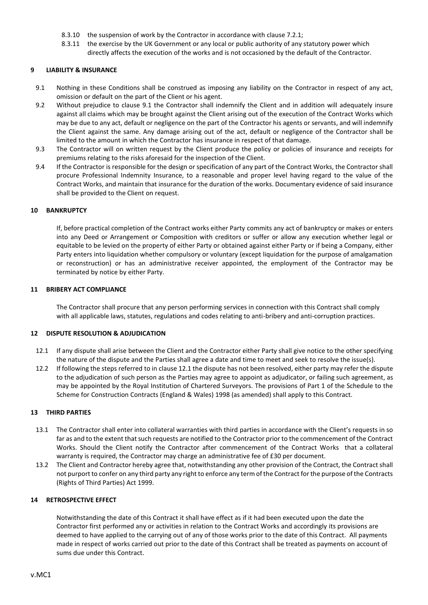- 8.3.10 the suspension of work by the Contractor in accordance with clause 7.2.1;
- 8.3.11 the exercise by the UK Government or any local or public authority of any statutory power which directly affects the execution of the works and is not occasioned by the default of the Contractor.

### **9 LIABILITY & INSURANCE**

- 9.1 Nothing in these Conditions shall be construed as imposing any liability on the Contractor in respect of any act, omission or default on the part of the Client or his agent.
- 9.2 Without prejudice to clause 9.1 the Contractor shall indemnify the Client and in addition will adequately insure against all claims which may be brought against the Client arising out of the execution of the Contract Works which may be due to any act, default or negligence on the part of the Contractor his agents or servants, and will indemnify the Client against the same. Any damage arising out of the act, default or negligence of the Contractor shall be limited to the amount in which the Contractor has insurance in respect of that damage.
- 9.3 The Contractor will on written request by the Client produce the policy or policies of insurance and receipts for premiums relating to the risks aforesaid for the inspection of the Client.
- 9.4 If the Contractor is responsible for the design or specification of any part of the Contract Works, the Contractor shall procure Professional Indemnity Insurance, to a reasonable and proper level having regard to the value of the Contract Works, and maintain that insurance for the duration of the works. Documentary evidence of said insurance shall be provided to the Client on request.

### **10 BANKRUPTCY**

If, before practical completion of the Contract works either Party commits any act of bankruptcy or makes or enters into any Deed or Arrangement or Composition with creditors or suffer or allow any execution whether legal or equitable to be levied on the property of either Party or obtained against either Party or if being a Company, either Party enters into liquidation whether compulsory or voluntary (except liquidation for the purpose of amalgamation or reconstruction) or has an administrative receiver appointed, the employment of the Contractor may be terminated by notice by either Party.

### **11 BRIBERY ACT COMPLIANCE**

The Contractor shall procure that any person performing services in connection with this Contract shall comply with all applicable laws, statutes, regulations and codes relating to anti-bribery and anti-corruption practices.

# **12 DISPUTE RESOLUTION & ADJUDICATION**

- 12.1 If any dispute shall arise between the Client and the Contractor either Party shall give notice to the other specifying the nature of the dispute and the Parties shall agree a date and time to meet and seek to resolve the issue(s).
- 12.2 If following the steps referred to in clause 12.1 the dispute has not been resolved, either party may refer the dispute to the adjudication of such person as the Parties may agree to appoint as adjudicator, or failing such agreement, as may be appointed by the Royal Institution of Chartered Surveyors. The provisions of Part 1 of the Schedule to the Scheme for Construction Contracts (England & Wales) 1998 (as amended) shall apply to this Contract.

## **13 THIRD PARTIES**

- 13.1 The Contractor shall enter into collateral warranties with third parties in accordance with the Client's requests in so far as and to the extent that such requests are notified to the Contractor prior to the commencement of the Contract Works. Should the Client notify the Contractor after commencement of the Contract Works that a collateral warranty is required, the Contractor may charge an administrative fee of £30 per document.
- 13.2 The Client and Contractor hereby agree that, notwithstanding any other provision of the Contract, the Contract shall not purport to confer on any third party any right to enforce any term of the Contract for the purpose of the Contracts (Rights of Third Parties) Act 1999.

### **14 RETROSPECTIVE EFFECT**

Notwithstanding the date of this Contract it shall have effect as if it had been executed upon the date the Contractor first performed any or activities in relation to the Contract Works and accordingly its provisions are deemed to have applied to the carrying out of any of those works prior to the date of this Contract. All payments made in respect of works carried out prior to the date of this Contract shall be treated as payments on account of sums due under this Contract.